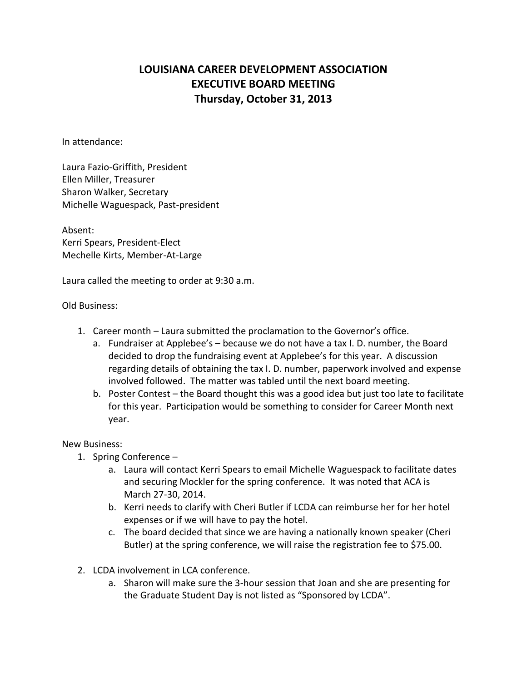## **LOUISIANA CAREER DEVELOPMENT ASSOCIATION EXECUTIVE BOARD MEETING Thursday, October 31, 2013**

In attendance:

Laura Fazio-Griffith, President Ellen Miller, Treasurer Sharon Walker, Secretary Michelle Waguespack, Past-president

Absent: Kerri Spears, President-Elect Mechelle Kirts, Member-At-Large

Laura called the meeting to order at 9:30 a.m.

Old Business:

- 1. Career month Laura submitted the proclamation to the Governor's office.
	- a. Fundraiser at Applebee's because we do not have a tax I. D. number, the Board decided to drop the fundraising event at Applebee's for this year. A discussion regarding details of obtaining the tax I. D. number, paperwork involved and expense involved followed. The matter was tabled until the next board meeting.
	- b. Poster Contest the Board thought this was a good idea but just too late to facilitate for this year. Participation would be something to consider for Career Month next year.

## New Business:

- 1. Spring Conference
	- a. Laura will contact Kerri Spears to email Michelle Waguespack to facilitate dates and securing Mockler for the spring conference. It was noted that ACA is March 27-30, 2014.
	- b. Kerri needs to clarify with Cheri Butler if LCDA can reimburse her for her hotel expenses or if we will have to pay the hotel.
	- c. The board decided that since we are having a nationally known speaker (Cheri Butler) at the spring conference, we will raise the registration fee to \$75.00.
- 2. LCDA involvement in LCA conference.
	- a. Sharon will make sure the 3-hour session that Joan and she are presenting for the Graduate Student Day is not listed as "Sponsored by LCDA".